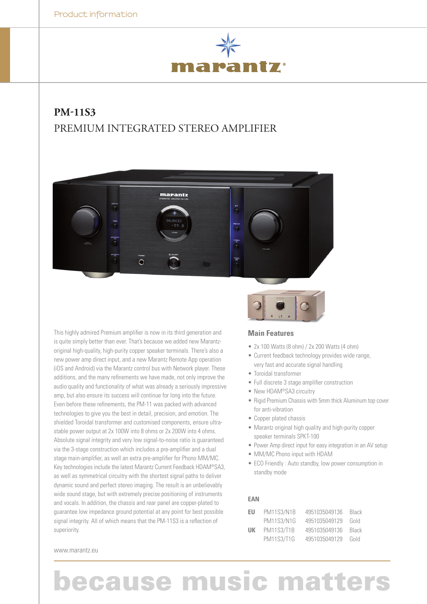

## **PM-11S3** PREMIUM INTEGRATED STEREO AMPLIFIER



This highly admired Premium amplifier is now in its third generation and is quite simply better than ever. That's because we added new Marantzoriginal high-quality, high-purity copper speaker terminals. There's also a new power amp direct input, and a new Marantz Remote App operation (iOS and Android) via the Marantz control bus with Network player. These additions, and the many refinements we have made, not only improve the audio quality and functionality of what was already a seriously impressive amp, but also ensure its success will continue for long into the future. Even before these refinements, the PM-11 was packed with advanced technologies to give you the best in detail, precision, and emotion. The shielded Toroidal transformer and customised components, ensure ultrastable power output at 2x 100W into 8 ohms or 2x 200W into 4 ohms. Absolute signal integrity and very low signal-to-noise ratio is guaranteed via the 3-stage construction which includes a pre-amplifier and a dual stage main-amplifier, as well an extra pre-amplifier for Phono MM/MC. Key technologies include the latest Marantz Current Feedback HDAM®SA3, as well as symmetrical circuitry with the shortest signal paths to deliver dynamic sound and perfect stereo imaging. The result is an unbelievably wide sound stage, but with extremely precise positioning of instruments and vocals. In addition, the chassis and rear panel are copper-plated to guarantee low impedance ground potential at any point for best possible signal integrity. All of which means that the PM-11S3 is a reflection of superiority.



### **Main Features**

- $\bullet$  2x 100 Watts (8 ohm) / 2x 200 Watts (4 ohm)
- Current feedback technology provides wide range, very fast and accurate signal handling
- Toroidal transformer
- Full discrete 3 stage amplifier construction
- New HDAM®SA3 circuitry
- Rigid Premium Chassis with 5mm thick Aluminum top cover for anti-vibration
- Copper plated chassis
- Marantz original high quality and high-purity copper speaker terminals SPKT-100
- Power Amp direct input for easy integration in an AV setup
- MM/MC Phono input with HDAM
- ECO Friendly : Auto standby, low power consumption in standby mode

#### **EAN**

| EU | <b>PM11S3/N1B</b> | 4951035049136 | Black |
|----|-------------------|---------------|-------|
|    | <b>PM11S3/N1G</b> | 4951035049129 | Gold  |
| UК | <b>PM11S3/T1B</b> | 4951035049136 | Black |
|    | <b>PM11S3/T1G</b> | 4951035049129 | Gold  |

www.marantz.eu

# **because music matters**